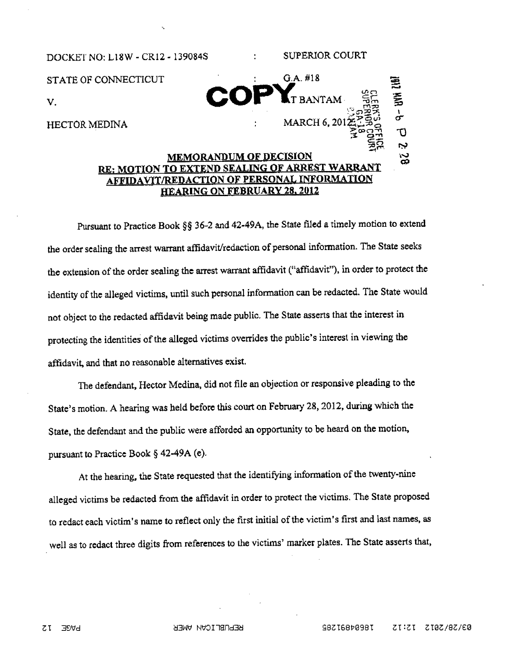## DOCKET NO: L18W - CR12 - 139084S : SUPERIOR COURT STATE OF CONNECTICUT : G.A. #18 T BANTAM  $V_{\rm L}$ LERE<br>ELES<br>ENGER HECTOR MEDINA : MARCH 6, 20  $\Xi$ ਨ ب MEMORANDUM OF DECISION ιč

## RE: MOTION TO EXTEND SEALING OF ARREST WARRANT AFFIDAVIT/REDACTION OF PERSONAL INFORMATION HEARING ON FEBRUARY 28. 2012

Pursuant to Practice Book §§ 36-2 and 42-49A, the State filed a timely motion to extend the order sealing the arrest warrant affidavit/redaction of personal information. The State seeks the extension of the order sealing the arrest warrant affidavit ("affidavit"), in order to protect the identity of the alleged victims, until such persona<sup>l</sup> information can be redacted. The State would not object to the redacted affidavit being made public. The State asserts that the interest in protecting the identities of the alleged victims overrides the public's interest in viewing the affidavit, and that no reasonable alternatives exist.

The defendant, Hector Medina, did not file an objection or responsive <sup>p</sup>leading to the State's motion. <sup>A</sup> hearing was held before this court on February 28, 2012, during which the State, the defendart and the public were afforded an opportunity to be heard on the motion, pursuan<sup>t</sup> to Practice Book § 42-49A (e).

At the hearing, the State requested that the identifying information of the twenty-nine alleged victims be redacted from the affidavit in order to protect the victims, The State propose<sup>d</sup> to redact each victim's name to reflect only the first initial of the victim's first and last names, as well as to redact three digits from references to the victims' marker <sup>p</sup>lates. The State asserts that,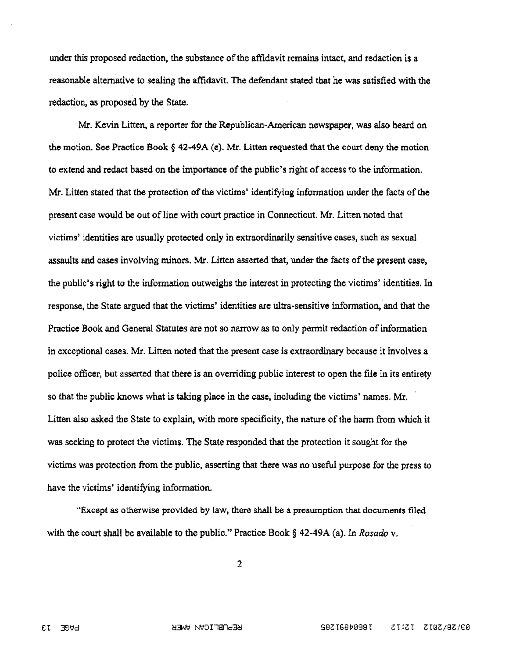under this proposed redaction, the substance of the affidavit remains intact, and redaction is a reasonable alternative to sealing the affidavit. The defendant stated that he was satisfied with the redaction, as proposed by the State.

Mr. Kevin Litten, a reporter for the Republican-American newspaper, was also heard on the motion. See Practice Book  $\S$  42-49A (e). Mr. Litten requested that the court deny the motion to extend and redact based on the importance of the public's right of access to the information. Mr. Litten stated that the protection of the victims' identifying information under the facts of the present case would be out of line with court practice in Connecticut. Mr. Litten noted that victims' identities are usually protected only in extraordinarily sensitive cases, such as sexual assaults and cases involving minors. Mr. Litten asserted that, under the facts of the present case, the public's right to the information outweighs the interest in protecting the victims' identities, In response, the State argued that the victims' identities are ultra-sensitive information, and that the Practice Book and General Statutes are not so narrow as to only permit redaction of information in exceptional cases. Mr. Litten noted that the present case is extraordinary because it involves a police officer, but asserted that there is an overriding public interest to open the file in its entirety so that the public knows what is taking place in the case, including the victims' names. Mr. Litten also asked the State to explain, with more specificity, the nature of the harm from which it was seeking to protect the victims. The State responded that the protection it sought for the victims was protection from the public, asserting that there was no useful purpose for the press to have the victims' identifying information.

"Except as otherwise provided by law, there shall be a presumption that documents filed with the court shall be available to the public." Practice Book  $\S$  42-49A (a). In Rosado v.

 $\overline{2}$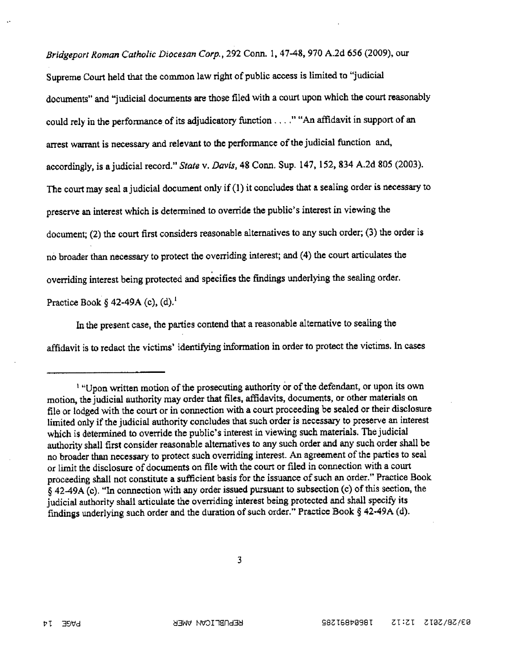Bridgeport Roman Catholic Diocesan Corp., <sup>292</sup> Conn. 1, 47-48, <sup>970</sup> A.2d <sup>656</sup> (2009), our Supreme Court held that the common law right of public access is limited to "judicial documents" and "judicial documents are those filed with a court upon which the court reasonably could rely in the performance of its adjudicatory function. .. ." "An affidavit in suppor<sup>t</sup> of an arrest warrant is necessary and relevant to the performance of the judicial function and, accordingly, is a judicial record." State v. Davis, 48 Conn. Sup. 147, 152, 834 A.2d 805 (2003). The court may seal a judicial document only if (1) it concludes that a sealing order is necessary to preserve an interest which is determined to override the public's interest in viewing the document; (2) the court first considers reasonable alternatives to any such order; (3) the order is no broader than necessary to protect the overriding interest; and (4) the court articulates the overriding interest being protected and specifies the findings underlying the sealing order. Practice Book  $\S 42-49A$  (c), (d).<sup>1</sup>

In the presen<sup>t</sup> case, the parties contend that <sup>a</sup> reasonable alternative to sealing the affidavit is to redact the victims' identifying information in order to protect the victims, in cases

3

<sup>&</sup>lt;sup>1</sup> "Upon written motion of the prosecuting authority or of the defendant, or upon its own motion, the judicial authority may order that files, affidavits, documents, or other materials on file or lodged with the court or in connection with a court proceeding be sealed or their disclosure limited only if the judicial authority concludes that such order is necessary to preserve an interest which is determined to override the public's interest in viewing such materials. The judicial authority shall first consider reasonable alternatives to any such order and any such order shall be no broader than necessary to protect such overriding interest. An agreement of the parties to seal or limit the disclosure of documents on file with the court or filed in connection with <sup>a</sup> court proceeding shall not constitute a sufficient basis for the issuance of such an order." Practice Book § 42-49A (c). "In connection with any order issued pursuant to subsection (c) of this section, the judicial authority shall articulate the overriding interest being protected and shall specify its findings underlying such order and the duration of such order." Practice Book § 42-49A (d).